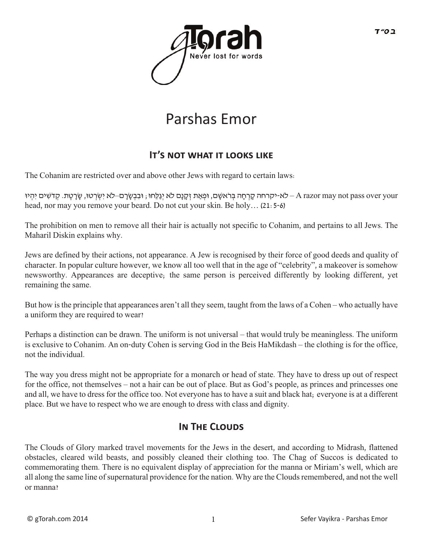

# Parshas Emor

### **IT'S NOT WHAT IT LOOKS LIKE**

The Cohanim are restricted over and above other Jews with regard to certain laws:

לא-יקרחה קָרְחָה בִּרֹאשָם, וּפְאַת זְקָנָם לֹא יְגַלֵּחוּ; וּבִבְשֶׂרָם–לֹא יִשְׂרְטוּ, שֶׂרָטֵת. קְדֹשִׁים יִהְיוּ – A razor may not pass over your head, nor may you remove your beard. Do not cut your skin. Be holy… (21:5-6)

The prohibition on men to remove all their hair is actually not specific to Cohanim, and pertains to all Jews. The Maharil Diskin explains why.

Jews are defined by their actions, not appearance. A Jew is recognised by their force of good deeds and quality of character. In popular culture however, we know all too well that in the age of "celebrity", a makeover is somehow newsworthy. Appearances are deceptive; the same person is perceived differently by looking different, yet remaining the same.

But how is the principle that appearances aren't all they seem, taught from the laws of a Cohen – who actually have a uniform they are required to wear?

Perhaps a distinction can be drawn. The uniform is not universal – that would truly be meaningless. The uniform is exclusive to Cohanim. An on-duty Cohen is serving God in the Beis HaMikdash – the clothing is for the office, not the individual.

The way you dress might not be appropriate for a monarch or head of state. They have to dress up out of respect for the office, not themselves – not a hair can be out of place. But as God's people, as princes and princesses one and all, we have to dress for the office too. Not everyone has to have a suit and black hat; everyone is at a different place. But we have to respect who we are enough to dress with class and dignity.

#### **In The Clouds**

The Clouds of Glory marked travel movements for the Jews in the desert, and according to Midrash, flattened obstacles, cleared wild beasts, and possibly cleaned their clothing too. The Chag of Succos is dedicated to commemorating them. There is no equivalent display of appreciation for the manna or Miriam's well, which are all along the same line of supernatural providence for the nation. Why are the Clouds remembered, and not the well or manna?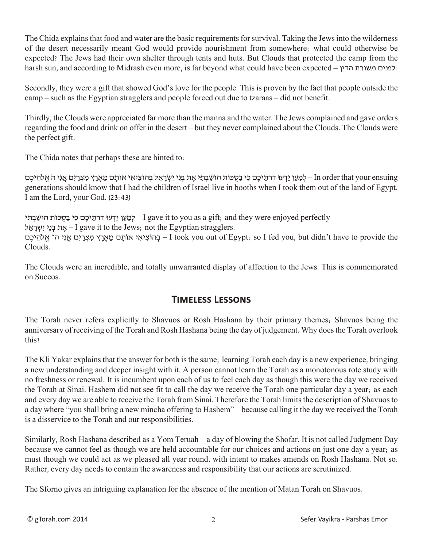The Chida explains that food and water are the basic requirements for survival. Taking the Jews into the wilderness of the desert necessarily meant God would provide nourishment from somewhere; what could otherwise be expected? The Jews had their own shelter through tents and huts. But Clouds that protected the camp from the harsh sun, and according to Midrash even more, is far beyond what could have been expected – הדין משורת לפנים.

Secondly, they were a gift that showed God's love for the people. This is proven by the fact that people outside the camp – such as the Egyptian stragglers and people forced out due to tzaraas – did not benefit.

Thirdly, the Clouds were appreciated far more than the manna and the water. The Jews complained and gave orders regarding the food and drink on offer in the desert – but they never complained about the Clouds. The Clouds were the perfect gift.

The Chida notes that perhaps these are hinted to:

 ensuing your that order In – לְ מַ עַ ן יֵדְ עּו דֹרֹתֵ יכֶם כִ ּי בַ סֻ ּּכוֹת הוֹשַ ׁבְ תִ ּי אֶ ת בְ ּנֵי יִשְ ׂרָ אֵ ל בְ ּהוֹצִ יאִ י אוֹתָ ם מֵ אֶ רֶ ץ מִ צְ רָ יִם אֲ נִי הֹ אֱ ֹלהֵ יכֶם generations should know that I had the children of Israel live in booths when I took them out of the land of Egypt. I am the Lord, your God. (23:43)

לְמַעֵן יֵדְעוּ דֹרֹתֵיכֶם כִּי בַסִּכּוֹת הוֹשָׁבָתי – I gave it to you as a gift, and they were enjoyed perfectly אָת בְּנֵי יִשְׂרָאֵל – I gave it to the Jews; not the Egyptian stragglers. the provide to have t'didn but ,you fed I so; Egypt of out you took I – בְ ּהוֹצִ יאִ י אוֹתָ ם מֵ אֶ רֶ ץ מִ צְ רָ יִם אֲ נִי ה' אֱ ֹלהֵ יכֶם Clouds.

The Clouds were an incredible, and totally unwarranted display of affection to the Jews. This is commemorated on Succos.

#### **Timeless Lessons**

The Torah never refers explicitly to Shavuos or Rosh Hashana by their primary themes; Shavuos being the anniversary of receiving of the Torah and Rosh Hashana being the day of judgement. Why does the Torah overlook this?

The Kli Yakar explains that the answer for both is the same; learning Torah each day is a new experience, bringing a new understanding and deeper insight with it. A person cannot learn the Torah as a monotonous rote study with no freshness or renewal. It is incumbent upon each of us to feel each day as though this were the day we received the Torah at Sinai. Hashem did not see fit to call the day we receive the Torah one particular day a year; as each and every day we are able to receive the Torah from Sinai. Therefore the Torah limits the description of Shavuos to a day where "you shall bring a new mincha offering to Hashem" – because calling it the day we received the Torah is a disservice to the Torah and our responsibilities.

Similarly, Rosh Hashana described as a Yom Teruah – a day of blowing the Shofar. It is not called Judgment Day because we cannot feel as though we are held accountable for our choices and actions on just one day a year; as must though we could act as we pleased all year round, with intent to makes amends on Rosh Hashana. Not so. Rather, every day needs to contain the awareness and responsibility that our actions are scrutinized.

The Sforno gives an intriguing explanation for the absence of the mention of Matan Torah on Shavuos.